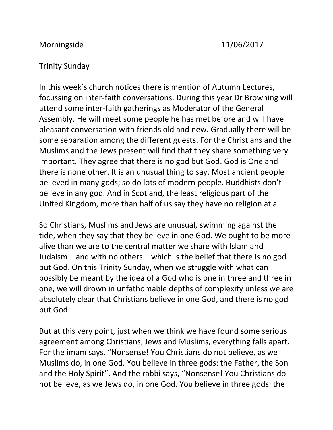## Morningside 11/06/2017

## Trinity Sunday

In this week's church notices there is mention of Autumn Lectures, focussing on inter-faith conversations. During this year Dr Browning will attend some inter-faith gatherings as Moderator of the General Assembly. He will meet some people he has met before and will have pleasant conversation with friends old and new. Gradually there will be some separation among the different guests. For the Christians and the Muslims and the Jews present will find that they share something very important. They agree that there is no god but God. God is One and there is none other. It is an unusual thing to say. Most ancient people believed in many gods; so do lots of modern people. Buddhists don't believe in any god. And in Scotland, the least religious part of the United Kingdom, more than half of us say they have no religion at all.

So Christians, Muslims and Jews are unusual, swimming against the tide, when they say that they believe in one God. We ought to be more alive than we are to the central matter we share with Islam and Judaism – and with no others – which is the belief that there is no god but God. On this Trinity Sunday, when we struggle with what can possibly be meant by the idea of a God who is one in three and three in one, we will drown in unfathomable depths of complexity unless we are absolutely clear that Christians believe in one God, and there is no god but God.

But at this very point, just when we think we have found some serious agreement among Christians, Jews and Muslims, everything falls apart. For the imam says, "Nonsense! You Christians do not believe, as we Muslims do, in one God. You believe in three gods: the Father, the Son and the Holy Spirit". And the rabbi says, "Nonsense! You Christians do not believe, as we Jews do, in one God. You believe in three gods: the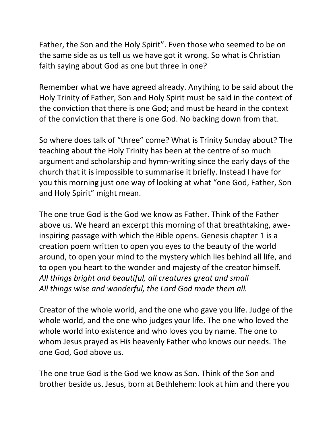Father, the Son and the Holy Spirit". Even those who seemed to be on the same side as us tell us we have got it wrong. So what is Christian faith saying about God as one but three in one?

Remember what we have agreed already. Anything to be said about the Holy Trinity of Father, Son and Holy Spirit must be said in the context of the conviction that there is one God; and must be heard in the context of the conviction that there is one God. No backing down from that.

So where does talk of "three" come? What is Trinity Sunday about? The teaching about the Holy Trinity has been at the centre of so much argument and scholarship and hymn-writing since the early days of the church that it is impossible to summarise it briefly. Instead I have for you this morning just one way of looking at what "one God, Father, Son and Holy Spirit" might mean.

The one true God is the God we know as Father. Think of the Father above us. We heard an excerpt this morning of that breathtaking, aweinspiring passage with which the Bible opens. Genesis chapter 1 is a creation poem written to open you eyes to the beauty of the world around, to open your mind to the mystery which lies behind all life, and to open you heart to the wonder and majesty of the creator himself. *All things bright and beautiful, all creatures great and small All things wise and wonderful, the Lord God made them all.*

Creator of the whole world, and the one who gave you life. Judge of the whole world, and the one who judges your life. The one who loved the whole world into existence and who loves you by name. The one to whom Jesus prayed as His heavenly Father who knows our needs. The one God, God above us.

The one true God is the God we know as Son. Think of the Son and brother beside us. Jesus, born at Bethlehem: look at him and there you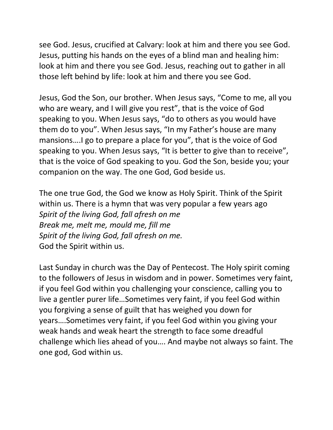see God. Jesus, crucified at Calvary: look at him and there you see God. Jesus, putting his hands on the eyes of a blind man and healing him: look at him and there you see God. Jesus, reaching out to gather in all those left behind by life: look at him and there you see God.

Jesus, God the Son, our brother. When Jesus says, "Come to me, all you who are weary, and I will give you rest", that is the voice of God speaking to you. When Jesus says, "do to others as you would have them do to you". When Jesus says, "In my Father's house are many mansions….I go to prepare a place for you", that is the voice of God speaking to you. When Jesus says, "It is better to give than to receive", that is the voice of God speaking to you. God the Son, beside you; your companion on the way. The one God, God beside us.

The one true God, the God we know as Holy Spirit. Think of the Spirit within us. There is a hymn that was very popular a few years ago *Spirit of the living God, fall afresh on me Break me, melt me, mould me, fill me Spirit of the living God, fall afresh on me.* God the Spirit within us.

Last Sunday in church was the Day of Pentecost. The Holy spirit coming to the followers of Jesus in wisdom and in power. Sometimes very faint, if you feel God within you challenging your conscience, calling you to live a gentler purer life…Sometimes very faint, if you feel God within you forgiving a sense of guilt that has weighed you down for years….Sometimes very faint, if you feel God within you giving your weak hands and weak heart the strength to face some dreadful challenge which lies ahead of you…. And maybe not always so faint. The one god, God within us.